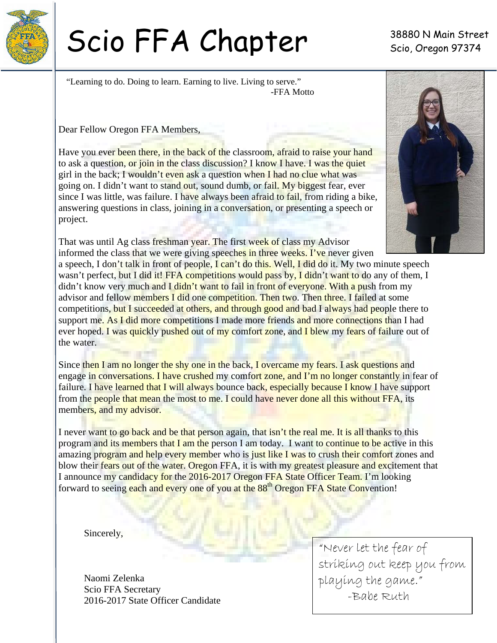

# Scio FFA Chapter 38880 N Main Street

"Learning to do. Doing to learn. Earning to live. Living to serve." -FFA Motto

Dear Fellow Oregon FFA Members,

Have you ever been there, in the back of the classroom, afraid to raise your hand to ask a question, or join in the class discussion? I know I have. I was the quiet girl in the back; I wouldn't even ask a question when I had no clue what was going on. I didn't want to stand out, sound dumb, or fail. My biggest fear, ever since I was little, was failure. I have always been afraid to fail, from riding a bike, answering questions in class, joining in a conversation, or presenting a speech or project.



That was until Ag class freshman year. The first week of class my Advisor informed the class that we were giving speeches in three weeks. I've never given a speech, I don't talk in front of people, I can't do this. Well, I did do it. My two minute speech wasn't perfect, but I did it! FFA competitions would pass by, I didn't want to do any of them, I didn't know very much and I didn't want to fail in front of everyone. With a push from my advisor and fellow members I did one competition. Then two. Then three. I failed at some competitions, but I succeeded at others, and through good and bad I always had people there to support me. As I did more competitions I made more friends and more connections than I had ever hoped. I was quickly pushed out of my comfort zone, and I blew my fears of failure out of the water.

Since then I am no longer the shy one in the back, I overcame my fears. I ask questions and engage in conversations. I have crushed my comfort zone, and I'm no longer constantly in fear of failure. I have learned that I will always bounce back, especially because I know I have support from the people that mean the most to me. I could have never done all this without FFA, its members, and my advisor.

I never want to go back and be that person again, that isn't the real me. It is all thanks to this program and its members that I am the person I am today. I want to continue to be active in this amazing program and help every member who is just like I was to crush their comfort zones and blow their fears out of the water. Oregon FFA, it is with my greatest pleasure and excitement that I announce my candidacy for the 2016-2017 Oregon FFA State Officer Team. I'm looking forward to seeing each and every one of you at the 88<sup>th</sup> Oregon FFA State Convention!

Sincerely,

Naomi Zelenka Scio FFA Secretary 2016-2017 State Officer Candidate

"Never let the fear of striking out keep you from playing the game." -Babe Ruth